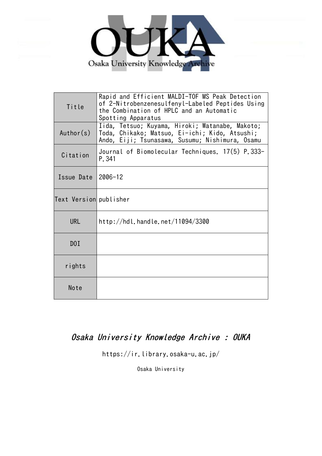

| Title                  | Rapid and Efficient MALDI-TOF MS Peak Detection<br>of 2-Nitrobenzenesulfenyl-Labeled Peptides Using<br>the Combination of HPLC and an Automatic<br>Spotting Apparatus |  |  |  |
|------------------------|-----------------------------------------------------------------------------------------------------------------------------------------------------------------------|--|--|--|
| Author(s)              | Iida, Tetsuo; Kuyama, Hiroki; Watanabe, Makoto;<br>Toda, Chikako; Matsuo, Ei-ichi; Kido, Atsushi;<br>Ando, Eiji; Tsunasawa, Susumu; Nishimura, Osamu                  |  |  |  |
| Citation               | Journal of Biomolecular Techniques. 17(5) P.333-<br>P. 341                                                                                                            |  |  |  |
| Issue Date             | $2006 - 12$                                                                                                                                                           |  |  |  |
| Text Version publisher |                                                                                                                                                                       |  |  |  |
| <b>URL</b>             | http://hdl.handle.net/11094/3300                                                                                                                                      |  |  |  |
| D0I                    |                                                                                                                                                                       |  |  |  |
| rights                 |                                                                                                                                                                       |  |  |  |
| Note                   |                                                                                                                                                                       |  |  |  |

# Osaka University Knowledge Archive : OUKA

https://ir.library.osaka-u.ac.jp/

Osaka University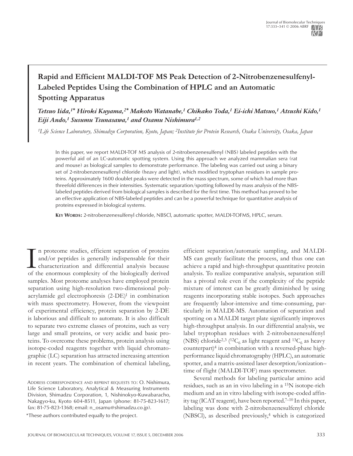## **Rapid and Efficient MALDI-TOF MS Peak Detection of 2-Nitrobenzenesulfenyl-Labeled Peptides Using the Combination of HPLC and an Automatic Spotting Apparatus**

*Tetsuo Iida,1\* Hiroki Kuyama,2\* Makoto Watanabe,1 Chikako Toda,1 Ei-ichi Matsuo,1 Atsushi Kido,1 Eiji Ando,1 Susumu Tsunasawa,1 and Osamu Nishimura1,2*

*1Life Science Laboratory, Shimadzu Corporation, Kyoto, Japan; 2Institute for Protein Research, Osaka University, Osaka, Japan*

In this paper, we report MALDI-TOF MS analysis of 2-nitrobenzenesulfenyl (NBS) labeled peptides with the powerful aid of an LC-automatic spotting system. Using this approach we analyzed mammalian sera (rat and mouse) as biological samples to demonstrate performance. The labeling was carried out using a binary set of 2-nitrobenzenesulfenyl chloride (heavy and light), which modified tryptophan residues in sample proteins. Approximately 1600 doublet peaks were detected in the mass spectrum, some of which had more than threefold differences in their intensities. Systematic separation/spotting followed by mass analysis of the NBSlabeled peptides derived from biological samples is described for the first time. This method has proved to be an effective application of NBS-labeled peptides and can be a powerful technique for quantitative analysis of proteins expressed in biological systems.

**Key Words:** 2-nitrobenzenesulfenyl chloride, NBSCl, automatic spotter, MALDI-TOFMS, HPLC, serum.

In proteome studies, efficient separation of proteins and/or peptides is generally indispensable for their characterization and differential analysis because of the enormous complexity of the biologically derived n proteome studies, efficient separation of proteins and/or peptides is generally indispensable for their characterization and differential analysis because samples. Most proteome analyses have employed protein separation using high-resolution two-dimensional polyacrylamide gel electrophoresis (2-DE)1 in combination with mass spectrometry. However, from the viewpoint of experimental efficiency, protein separation by 2-DE is laborious and difficult to automate. It is also difficult to separate two extreme classes of proteins, such as very large and small proteins, or very acidic and basic proteins. To overcome these problems, protein analysis using isotope-coded reagents together with liquid chromatographic (LC) separation has attracted increasing attention in recent years. The combination of chemical labeling,

\*These authors contributed equally to the project.

efficient separation/automatic sampling, and MALDI-MS can greatly facilitate the process, and thus one can achieve a rapid and high-throughput quantitative protein analysis. To realize comparative analysis, separation still has a pivotal role even if the complexity of the peptide mixture of interest can be greatly diminished by using reagents incorporating stable isotopes. Such approaches are frequently labor-intensive and time-consuming, particularly in MALDI-MS. Automation of separation and spotting on a MALDI target plate significantly improves high-throughput analysis. In our differential analysis, we label tryptophan residues with 2-nitrobenzenesulfenyl (NBS) chloride<sup>2,3</sup> (<sup>12</sup>C<sub>6</sub> as light reagent and <sup>13</sup>C<sub>6</sub> as heavy counterpart)4 in combination with a reversed-phase highperformance liquid chromatography (HPLC), an automatic spotter, and a matrix-assisted laser desorption/ionization– time of flight (MALDI-TOF) mass spectrometer.

Several methods for labeling particular amino acid residues, such as an in vivo labeling in a 15N isotope-rich medium and an in vitro labeling with isotope-coded affinity tag (ICAT reagent), have been reported.<sup>7–10</sup> In this paper, labeling was done with 2-nitrobenzenesulfenyl chloride (NBSCl), as described previously,4 which is categorized

Address correspondence and reprint requests to: O. Nishimura, Life Science Laboratory, Analytical & Measuring Instruments Division, Shimadzu Corporation, 1, Nishinokyo-Kuwabaracho, Nakagyo-ku, Kyoto 604-8511, Japan (phone: 81-75-823-1617; fax: 81-75-823-1368; email: n\_osamu@shimadzu.co.jp).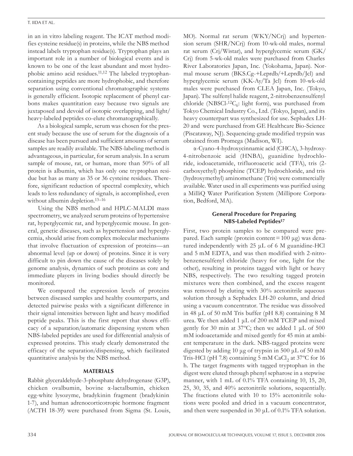#### T. Iida et al.

in an in vitro labeling reagent. The ICAT method modifies cysteine residue(s) in proteins, while the NBS method instead labels tryptophan residue(s). Tryptophan plays an important role in a number of biological events and is known to be one of the least abundant and most hydrophobic amino acid residues.11,12 The labeled tryptophancontaining peptides are more hydrophobic, and therefore separation using conventional chromatographic systems is generally efficient. Isotopic replacement of phenyl carbons makes quantitation easy because two signals are juxtaposed and devoid of isotopic overlapping, and light/ heavy-labeled peptides co-elute chromatographically.

As a biological sample, serum was chosen for the present study because the use of serum for the diagnosis of a disease has been pursued and sufficient amounts of serum samples are readily available. The NBS-labeling method is advantageous, in particular, for serum analysis. In a serum sample of mouse, rat, or human, more than 50% of all protein is albumin, which has only one tryptophan residue but has as many as 35 or 36 cysteine residues. Therefore, significant reduction of spectral complexity, which leads to less redundancy of signals, is accomplished, even without albumin depletion.<sup>13–16</sup>

Using the NBS method and HPLC-MALDI mass spectrometry, we analyzed serum proteins of hypertensive rat, hyperglycemic rat, and hyperglycemic mouse. In general, genetic diseases, such as hypertension and hyperglycemia, should arise from complex molecular mechanisms that involve fluctuation of expression of proteins—an abnormal level (up or down) of proteins. Since it is very difficult to pin down the cause of the diseases solely by genome analysis, dynamics of such proteins as core and immediate players in living bodies should directly be monitored.

We compared the expression levels of proteins between diseased samples and healthy counterparts, and detected pairwise peaks with a significant difference in their signal intensities between light and heavy modified peptide peaks. This is the first report that shows efficacy of a separation/automatic dispensing system when NBS-labeled peptides are used for differential analysis of expressed proteins. This study clearly demonstrated the efficacy of the separation/dispensing, which facilitated quantitative analysis by the NBS method.

## **Materials**

Rabbit glyceraldehyde-3-phosphate dehydrogenase (G3P), chicken ovalbumin, bovine α-lactalbumin, chicken egg-white lysozyme, bradykinin fragment (bradykinin 1-7), and human adrenocorticotropic hormone fragment (ACTH 18-39) were purchased from Sigma (St. Louis,

MO). Normal rat serum (WKY/NCrj) and hypertension serum (SHR/NCrj) from 10-wk-old males, normal rat serum (Crj/Wistar), and hyperglycemic serum (GK/ Crj) from 5-wk-old males were purchased from Charles River Laboratories Japan, Inc. (Yokohama, Japan). Normal mouse serum (BKS.Cg-+Leprdb/+Leprdb/Jcl) and hyperglycemic serum (KK-Ay/Ta Jcl) from 10-wk-old males were purchased from CLEA Japan, Inc. (Tokyo, Japan). The sulfenyl halide reagent, 2-nitrobenzensulfenyl chloride (NBSCl- ${}^{12}C_6$ : light form), was purchased from Tokyo Chemical Industry Co., Ltd. (Tokyo, Japan), and its heavy counterpart was synthesized for use. Sephadex LH-20 and were purchased from GE Healthcare Bio-Science (Piscataway, NJ). Sequencing-grade modified trypsin was obtained from Promega (Madison, WI).

α-Cyano-4-hydroxycinnamic acid (CHCA), 3-hydroxy-4-nitrobenzoic acid (HNBA), guanidine hydrochloride, iodoacetamide, trifluoroacetic acid (TFA), tris (2 carboxyethyl) phosphine (TCEP) hydrochloride, and tris (hydroxymethyl) aminomethane (Tris) were commercially available. Water used in all experiments was purified using a MilliQ Water Purification System (Millipore Corporation, Bedford, MA).

## **General Procedure for Preparing NBS-Labeled Peptides17**

First, two protein samples to be compared were prepared. Each sample (protein content =  $100 \mu$ g) was denatured independently with 25 μL of 6 M guanidine-HCl and 5 mM EDTA, and was then modified with 2-nitrobenzenesulfenyl chloride (heavy for one, light for the other), resulting in proteins tagged with light or heavy NBS, respectively. The two resulting tagged protein mixtures were then combined, and the excess reagent was removed by eluting with 30% acetonitrile aqueous solution through a Sephadex LH-20 column, and dried using a vacuum concentrator. The residue was dissolved in 48 μL of 50 mM Tris buffer (pH 8.8) containing 8 M urea. We then added 1 μL of 200 mM TCEP and mixed gently for 30 min at 37 $^{\circ}$ C; then we added 1 µL of 500 mM iodoacetamide and mixed gently for 45 min at ambient temperature in the dark. NBS-tagged proteins were digested by adding 10 μg of trypsin in 500 μL of 50 mM Tris-HCl (pH 7.8) containing  $5 \text{ mM }$  CaCl<sub>2</sub> at  $37^{\circ}$ C for 16 h. The target fragments with tagged tryptophan in the digest were eluted through phenyl sepharose in a stepwise manner, with 1 mL of 0.1% TFA containing 10, 15, 20, 25, 30, 35, and 40% acetonitrile solutions, sequentially. The fractions eluted with 10 to 15% acetonitrile solutions were pooled and dried in a vacuum concentrator, and then were suspended in 30  $\mu$ L of 0.1% TFA solution.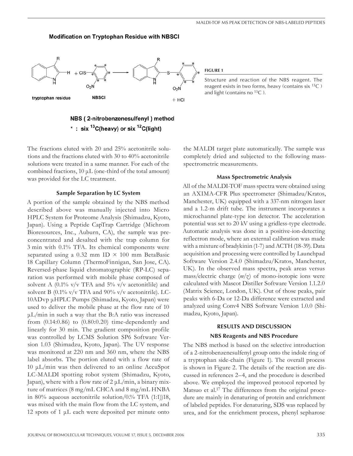#### **Modification on Tryptophan Residue with NBSCI**



**Figure 1**

Structure and reaction of the NBS reagent. The reagent exists in two forms, heavy (contains six 13C ) and light (contains no  $^{13}C$ ).

## NBS (2-nitrobenzenesulfenyl) method \* : six  $^{13}$ C(heavy) or six  $^{12}$ C(light)

The fractions eluted with 20 and 25% acetonitrile solutions and the fractions eluted with 30 to 40% acetonitrile solutions were treated in a same manner. For each of the combined fractions, 10 μL (one-third of the total amount) was provided for the LC treatment.

### **Sample Separation by LC System**

A portion of the sample obtained by the NBS method described above was manually injected into Micro HPLC System for Proteome Analysis (Shimadzu, Kyoto, Japan). Using a Peptide CapTrap Cartridge (Michrom Bioresources, Inc., Auburn, CA), the sample was preconcentrated and desalted with the trap column for 3 min with 0.1% TFA. Its chemical components were separated using a 0.32 mm ID  $\times$  100 mm BetaBasic 18 Capillary Column (ThermoFinnigan, San Jose, CA). Reversed-phase liquid chromatographic (RP-LC) separation was performed with mobile phase composed of solvent A (0.1%  $v/v$  TFA and 5%  $v/v$  acetonitiile) and solvent B (0.1% v/v TFA and 90% v/v acetonitrile). LC-10ADvp μHPLC Pumps (Shimadzu, Kyoto, Japan) were used to deliver the mobile phase at the flow rate of 10 μL/min in such a way that the B:A ratio was increased from  $(0.14:0.86)$  to  $(0.80:0.20)$  time-dependently and linearly for 30 min. The gradient composition profile was controlled by LCMS Solution SP6 Software Version 1.03 (Shimadzu, Kyoto, Japan). The UV response was monitored at 220 nm and 360 nm, where the NBS label absorbs. The portion eluted with a flow rate of 10 μL/min was then delivered to an online AccuSpot LC-MALDI spotting robot system (Shimadzu, Kyoto, Japan), where with a flow rate of  $2 \mu L/min$ , a binary mixture of matrices (8 mg/mL CHCA and 8 mg/mL HNBA in 80% aqueous acetonitrile solution/0.% TFA (1:1))18, was mixed with the main flow from the LC system, and 12 spots of 1  $\mu$ L each were deposited per minute onto

the MALDI target plate automatically. The sample was completely dried and subjected to the following massspectrometric measurements.

#### **Mass Spectrometric Analysis**

All of the MALDI-TOF mass spectra were obtained using an AXIMA-CFR Plus spectrometer (Shimadzu/Kratos, Manchester, UK) equipped with a 337-nm nitrogen laser and a 1.2-m drift tube. The instrument incorporates a microchannel plate-type ion detector. The acceleration potential was set to 20 kV using a gridless-type electrode. Automatic analysis was done in a positive-ion-detecting reflectron mode, where an external calibration was made with a mixture of bradykinin (1-7) and ACTH (18-39). Data acquisition and processing were controlled by Launchpad Software Version 2.4.0 (Shimadzu/Kratos, Manchester, UK). In the observed mass spectra, peak areas versus mass/electric charge (*m/z*) of mono-isotopic ions were calculated with Mascot Distiller Software Version 1.1.2.0 (Matrix Science, London, UK). Out of those peaks, pair peaks with 6-Da or 12-Da difference were extracted and analyzed using Conv4 NBS Software Version 1.0.0 (Shimadzu, Kyoto, Japan).

## **RESULTS AND DISCUSSION NBS Reagents and NBS Procedure**

The NBS method is based on the selective introduction of a 2-nitrobenzenesulfenyl group onto the indole ring of a tryptophan side-chain (Figure 1). The overall process is shown in Figure 2. The details of the reaction are discussed in references 2–4, and the procedure is described above. We employed the improved protocol reported by Matsuo et al.<sup>17</sup> The differences from the original procedure are mainly in denaturing of protein and enrichment of labeled peptides. For denaturing, SDS was replaced by urea, and for the enrichment process, phenyl sepharose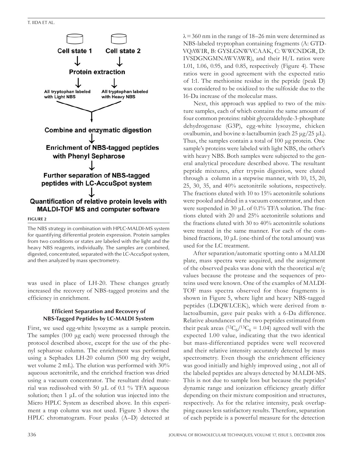T. Iida et al.



**Figure 2**

The NBS strategy in combination with HPLC-MALDI-MS system for quantifying differential protein expression. Protein samples from two conditions or states are labeled with the light and the heavy NBS reagents, individually. The samples are combined, digested, concentrated, separated with the LC-AccuSpot system, and then analyzed by mass spectrometry.

was used in place of LH-20. These changes greatly increased the recovery of NBS-tagged proteins and the efficiency in enrichment.

## **Efficient Separation and Recovery of NBS-Tagged Peptides by LC-MALDI System**

First, we used egg-white lysozyme as a sample protein. The samples (100 μg each) were processed through the protocol described above, except for the use of the phenyl sepharose column. The enrichment was performed using a Sephadex LH-20 column (500 mg dry weight, wet volume 2 mL). The elution was performed with 30% aqueous acetonitrile, and the enriched fraction was dried using a vacuum concentrator. The resultant dried material was redissolved with 50  $\mu$ L of 0.1 % TFA aqueous solution; then 1 μL of the solution was injected into the Micro HPLC System as described above. In this experiment a trap column was not used. Figure 3 shows the HPLC chromatogram. Four peaks (A–D) detected at

 $\lambda$  = 360 nm in the range of 18–26 min were determined as NBS-labeled tryptophan containing fragments (A: GTD-VQAWIR, B: GYSLGNWVCAAK, C: WWCNDGR, D: IVSDGNGMNAWVAWR), and their H/L ratios were 1.01, 1.06, 0.95, and 0.85, respectively (Figure 4). These ratios were in good agreement with the expected ratio of 1:1. The methionine residue in the peptide (peak D) was considered to be oxidized to the sulfoxide due to the 16-Da increase of the molecular mass.

Next, this approach was applied to two of the mixture samples, each of which contains the same amount of four common proteins: rabbit glyceraldehyde-3-phosphate dehydrogenase (G3P), egg-white lysozyme, chicken ovalbumin, and bovine α-lactalbumin (each 25 μg/25 μL). Thus, the samples contain a total of 100 μg protein. One sample's proteins were labeled with light NBS, the other's with heavy NBS. Both samples were subjected to the general analytical procedure described above. The resultant peptide mixtures, after trypsin digestion, were eluted through a column in a stepwise manner, with 10, 15, 20, 25, 30, 35, and 40% acetonitrile solutions, respectively. The fractions eluted with 10 to 15% acetonitrile solutions were pooled and dried in a vacuum concentrator, and then were suspended in 30 μL of 0.1% TFA solution. The fractions eluted with 20 and 25% acetonitrile solutions and the fractions eluted with 30 to 40% acetonitrile solutions were treated in the same manner. For each of the combined fractions, 10 μL (one-third of the total amount) was used for the LC treatment.

After separation/automatic spotting onto a MALDI plate, mass spectra were acquired, and the assignment of the observed peaks was done with the theoretical *m/z* values because the protease and the sequences of proteins used were known. One of the examples of MALDI-TOF mass spectra observed for those fragments is shown in Figure 5, where light and heavy NBS-tagged peptides (LDQWLCEK), which were derived from αlactoalbumin, gave pair peaks with a 6-Da difference. Relative abundances of the two peptides estimated from their peak areas ( ${}^{12}C_6/{}^{13}C_6 = 1.04$ ) agreed well with the expected 1.00 value, indicating that the two identical but mass-differentiated peptides were well recovered and their relative intensity accurately detected by mass spectrometry. Even though the enrichment efficiency was good initially and highly improved using , not all of the labeled peptides are always detected by MALDI-MS. This is not due to sample loss but because the peptides' dynamic range and ionization efficiency greatly differ depending on their mixture composition and structures, respectively. As for the relative intensity, peak overlapping causes less satisfactory results. Therefore, separation of each peptide is a powerful measure for the detection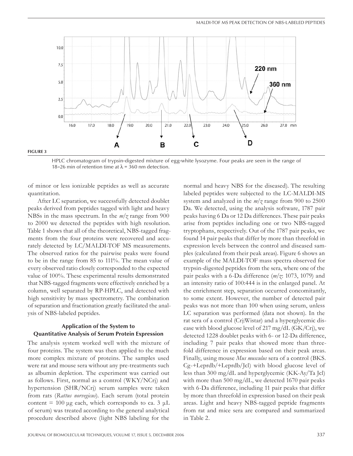

#### HPLC chromatogram of trypsin-digested mixture of egg-white lysozyme. Four peaks are seen in the range of 18–26 min of retention time at  $\lambda$  = 360 nm detection.

of minor or less ionizable peptides as well as accurate quantitation.

After LC separation, we successfully detected doublet peaks derived from peptides tagged with light and heavy NBSs in the mass spectrum. In the *m/z* range from 900 to 2000 we detected the peptides with high resolution. Table 1 shows that all of the theoretical, NBS-tagged fragments from the four proteins were recovered and accurately detected by LC/MALDI-TOF MS measurements. The observed ratios for the pairwise peaks were found to be in the range from 85 to 111%. The mean value of every observed ratio closely corresponded to the expected value of 100%. These experimental results demonstrated that NBS-tagged fragments were effectively enriched by a column, well separated by RP-HPLC, and detected with high sensitivity by mass spectrometry. The combination of separation and fractionation greatly facilitated the analysis of NBS-labeled peptides.

## **Application of the System to Quantitative Analysis of Serum Protein Expression**

The analysis system worked well with the mixture of four proteins. The system was then applied to the much more complex mixture of proteins. The samples used were rat and mouse sera without any pre-treatments such as albumin depletion. The experiment was carried out as follows. First, normal as a control (WKY/NCrj) and hypertension (SHR/NCrj) serum samples were taken from rats (*Rattus norvegicus*). Each serum (total protein content = 100  $\mu$ g each, which corresponds to ca. 3  $\mu$ L of serum) was treated according to the general analytical procedure described above (light NBS labeling for the

normal and heavy NBS for the diseased). The resulting labeled peptides were subjected to the LC-MALDI-MS system and analyzed in the *m/z* range from 900 to 2500 Da. We detected, using the analysis software, 1787 pair peaks having 6 Da or 12 Da differences. These pair peaks arise from peptides including one or two NBS-tagged tryptophans, respectively. Out of the 1787 pair peaks, we found 14 pair peaks that differ by more than threefold in expression levels between the control and diseased samples (calculated from their peak areas). Figure 6 shows an example of the MALDI-TOF mass spectra observed for trypsin-digested peptides from the sera, where one of the pair peaks with a 6-Da difference (*m/z*: 1073, 1079) and an intensity ratio of 100:444 is in the enlarged panel. At the enrichment step, separation occurred concomitantly, to some extent. However, the number of detected pair peaks was not more than 100 when using serum, unless LC separation was performed (data not shown). In the rat sera of a control (Crj:Wistar) and a hyperglycemic disease with blood glucose level of 217 mg/dL  $(GK/Cr)$ , we detected 1228 doublet peaks with 6- or 12-Da difference, including 7 pair peaks that showed more than threefold difference in expression based on their peak areas. Finally, using mouse *Mus musculus* sera of a control (BKS. Cg-+Leprdb/+Leprdb/Jcl) with blood glucose level of less than 300 mg/dL and hyperglycemic (KK-Ay/Ta Jcl) with more than 500 mg/dL, we detected 1670 pair peaks with 6-Da difference, including 11 pair peaks that differ by more than threefold in expression based on their peak areas. Light and heavy NBS-tagged peptide fragments from rat and mice sera are compared and summarized in Table 2.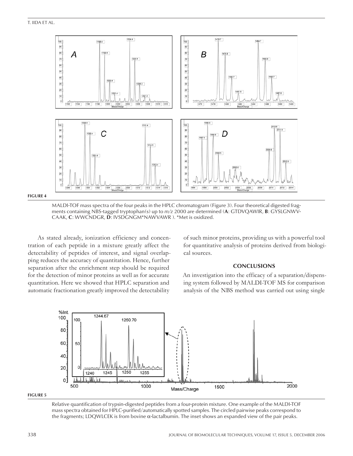

**Figure 4**

MALDI-TOF mass spectra of the four peaks in the HPLC chromatogram (Figure 3). Four theoretical digested fragments containing NBS-tagged tryptophan(s) up to *m/z* 2000 are determined (**A**: GTDVQAWIR, **B**: GYSLGNWV-CAAK, **C**: WWCNDGR, **D**: IVSDGNGM\*NAWVAWR ). \*Met is oxidized.

As stated already, ionization efficiency and concentration of each peptide in a mixture greatly affect the detectability of peptides of interest, and signal overlapping reduces the accuracy of quantitation. Hence, further separation after the enrichment step should be required for the detection of minor proteins as well as for accurate quantitation. Here we showed that HPLC separation and automatic fractionation greatly improved the detectability

of such minor proteins, providing us with a powerful tool for quantitative analysis of proteins derived from biological sources.

## **CONCLUSIONS**

An investigation into the efficacy of a separation/dispensing system followed by MALDI-TOF MS for comparison analysis of the NBS method was carried out using single





Relative quantification of trypsin-digested peptides from a four-protein mixture. One example of the MALDI-TOF mass spectra obtained for HPLC-purified/automatically spotted samples. The circled pairwise peaks correspond to the fragments; LDQWLCEK is from bovine α-lactalbumin. The inset shows an expanded view of the pair peaks.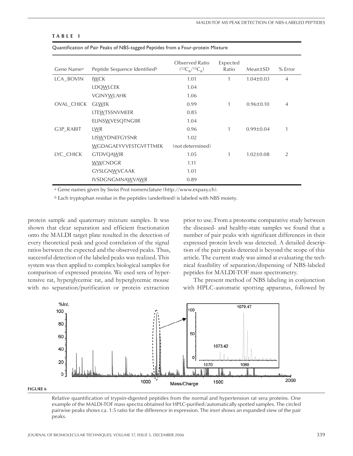#### **T a b l e 1**

| Gene Name <sup>a</sup> | Peptide Sequence Identified <sup>b</sup> | Observed Ratio<br>$(^{12}C_6/^{13}C_6)$ | Expected<br>Ratio | Mean±SD         | $%$ Error      |
|------------------------|------------------------------------------|-----------------------------------------|-------------------|-----------------|----------------|
| LCA BOVIN              | <b>IWCK</b>                              | 1.01                                    | 1                 | $1.04 \pm 0.03$ | $\overline{4}$ |
|                        | LDQWLCEK                                 | 1.04                                    |                   |                 |                |
|                        | VGINYWLAHK                               | 1.06                                    |                   |                 |                |
| OVAL_CHICK             | <b>GLWEK</b>                             | 0.99                                    | 1                 | $0.96 \pm 0.10$ | $\overline{4}$ |
|                        | LTEWTSSNVMEER                            | 0.85                                    |                   |                 |                |
|                        | <b>ELINSWVESQTNGIIR</b>                  | 1.04                                    |                   |                 |                |
| G3P RABIT              | LWR                                      | 0.96                                    | 1                 | $0.99 \pm 0.04$ | 1              |
|                        | LISWYDNEFGYSNR                           | 1.02                                    |                   |                 |                |
|                        | WGDAGAEYVVESTGVFTTMEK                    | (not determined)                        |                   |                 |                |
| LYC CHICK              | <b>GTDVQAWIR</b>                         | 1.05                                    | 1                 | $1.02 \pm 0.08$ | $\mathfrak{D}$ |
|                        | <b>WWCNDGR</b>                           | 1.11                                    |                   |                 |                |
|                        | <b>GYSLGNWVCAAK</b>                      | 1.01                                    |                   |                 |                |
|                        | <b>IVSDGNGMNAWVAWR</b>                   | 0.89                                    |                   |                 |                |

Quantification of Pair Peaks of NBS-tagged Peptides from a Four-protein Mixture

*<sup>a</sup>* Gene names given by Swiss Prot nomenclature (http://www.expasy.ch).

*<sup>b</sup>* Each tryptophan residue in the peptides (underlined) is labeled with NBS moiety.

protein sample and quaternary mixture samples. It was shown that clear separation and efficient fractionation onto the MALDI target plate resulted in the detection of every theoretical peak and good correlation of the signal ratios between the expected and the observed peaks. Thus, successful detection of the labeled peaks was realized. This system was then applied to complex biological samples for comparison of expressed proteins. We used sera of hypertensive rat, hyperglycemic rat, and hyperglycemic mouse with no separation/purification or protein extraction

prior to use. From a proteome comparative study between the diseased- and healthy-state samples we found that a number of pair peaks with significant differences in their expressed protein levels was detected. A detailed description of the pair peaks detected is beyond the scope of this article. The current study was aimed at evaluating the technical feasibility of separation/dispensing of NBS-labeled peptides for MALDI-TOF mass spectrometry.

The present method of NBS labeling in conjunction with HPLC-automatic spotting apparatus, followed by



#### **Figure 6**

Relative quantification of trypsin-digested peptides from the normal and hypertension rat sera proteins. One example of the MALDI-TOF mass spectra obtained for HPLC-purified/automatically spotted samples. The circled pairwise peaks shows ca. 1:5 ratio for the difference in expression. The *inset* shows an expanded view of the pair peaks.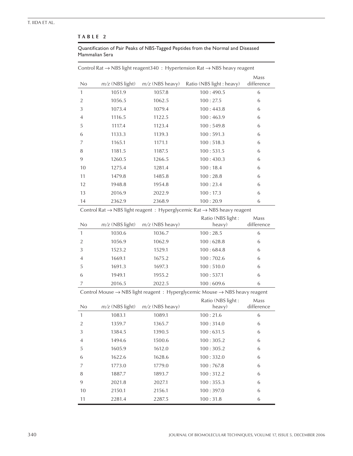### **T a b l e 2**

Quantification of Pair Peaks of NBS-Tagged Peptides from the Normal and Diseased Mammalian Sera

|                |                   |                   | CONTROL Nat $\rightarrow$ TNDS light reagents 40. The religion Nat $\rightarrow$ NDS reavy reagent | Mass       |
|----------------|-------------------|-------------------|----------------------------------------------------------------------------------------------------|------------|
| No             | $m/z$ (NBS light) | $m/z$ (NBS heavy) | Ratio (NBS light: heavy)                                                                           | difference |
| $\mathbf{1}$   | 1051.9            | 1057.8            | 100:490.5                                                                                          | 6          |
| $\overline{2}$ | 1056.5            | 1062.5            | 100:27.5                                                                                           | 6          |
| 3              | 1073.4            | 1079.4            | 100:443.8                                                                                          | 6          |
| $\overline{4}$ | 1116.5            | 1122.5            | 100:463.9                                                                                          | 6          |
| 5              | 1117.4            | 1123.4            | 100:549.8                                                                                          | 6          |
| 6              | 1133.3            | 1139.3            | 100:591.3                                                                                          | 6          |
| $\overline{7}$ | 1165.1            | 1171.1            | 100:518.3                                                                                          | 6          |
| 8              | 1181.5            | 1187.5            | 100:531.5                                                                                          | 6          |
| 9              | 1260.5            | 1266.5            | 100:430.3                                                                                          | 6          |
| 10             | 1275.4            | 1281.4            | 100:18.4                                                                                           | 6          |
| 11             | 1479.8            | 1485.8            | 100:28.8                                                                                           | 6          |
| 12             | 1948.8            | 1954.8            | 100:23.4                                                                                           | 6          |
| 13             | 2016.9            | 2022.9            | 100:17.3                                                                                           | 6          |
| 14             | 2362.9            | 2368.9            | 100:20.9                                                                                           | 6          |

Control Rat → NBS light reagent340 : Hypertension Rat → NBS heavy reagent

Control Rat → NBS light reagent : Hyperglycemic Rat → NBS heavy reagent

|                |                   |                   | Ratio (NBS light : | Mass       |
|----------------|-------------------|-------------------|--------------------|------------|
| No             | $m/z$ (NBS light) | $m/z$ (NBS heavy) | heavy)             | difference |
|                | 1030.6            | 1036.7            | 100:28.5           | 6          |
| $\mathcal{P}$  | 1056.9            | 1062.9            | 100:628.8          | 6          |
| 3              | 1523.2            | 1529.1            | 100:684.8          | 6          |
| $\overline{4}$ | 1669.1            | 1675.2            | 100:702.6          | 6          |
| 5              | 1691.3            | 1697.3            | 100:510.0          | 6          |
| 6              | 1949.1            | 1955.2            | 100:537.1          | 6          |
|                | 2016.5            | 2022.5            | 100:609.6          | 6          |

Control Mouse → NBS light reagent : Hyperglycemic Mouse → NBS heavy reagent

| No.            | $m/z$ (NBS light) | $m/z$ (NBS heavy) | Ratio (NBS light:<br>heavy) | Mass<br>difference |
|----------------|-------------------|-------------------|-----------------------------|--------------------|
| 1              | 1083.1            | 1089.1            | 100:21.6                    | 6                  |
| $\mathfrak{D}$ | 1359.7            | 1365.7            | 100:314.0                   | 6                  |
| 3              | 1384.5            | 1390.5            | 100:631.5                   | 6                  |
| 4              | 1494.6            | 1500.6            | 100:305.2                   | 6                  |
| 5              | 1605.9            | 1612.0            | 100:305.2                   | 6                  |
| 6              | 1622.6            | 1628.6            | 100:332.0                   | 6                  |
| 7              | 1773.0            | 1779.0            | 100:767.8                   | 6                  |
| 8              | 1887.7            | 1893.7            | 100:312.2                   | 6                  |
| 9              | 2021.8            | 2027.1            | 100:355.3                   | 6                  |
| 10             | 2150.1            | 2156.1            | 100:397.0                   | 6                  |
| 11             | 2281.4            | 2287.5            | 100:31.8                    | 6                  |